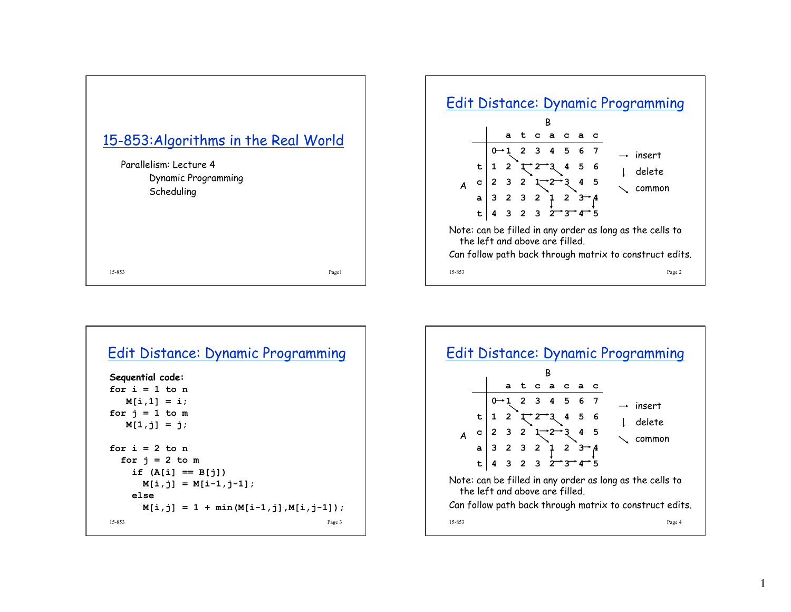



| Edit Distance: Dynamic Programming     |  |
|----------------------------------------|--|
| Sequential code:                       |  |
| for $i = 1$ to n                       |  |
| $M[i,1] = i;$                          |  |
| for $j = 1$ to m                       |  |
| $M[1, i] = i;$                         |  |
| for $i = 2$ to n                       |  |
| for $i = 2$ to m                       |  |
| if $(A[i] == B[j])$                    |  |
| $M[i, j] = M[i-1, j-1];$               |  |
| else                                   |  |
| $M[i,j] = 1 + min(M[i-1,j],M[i,j-1]),$ |  |
| 15-853<br>Page 3                       |  |

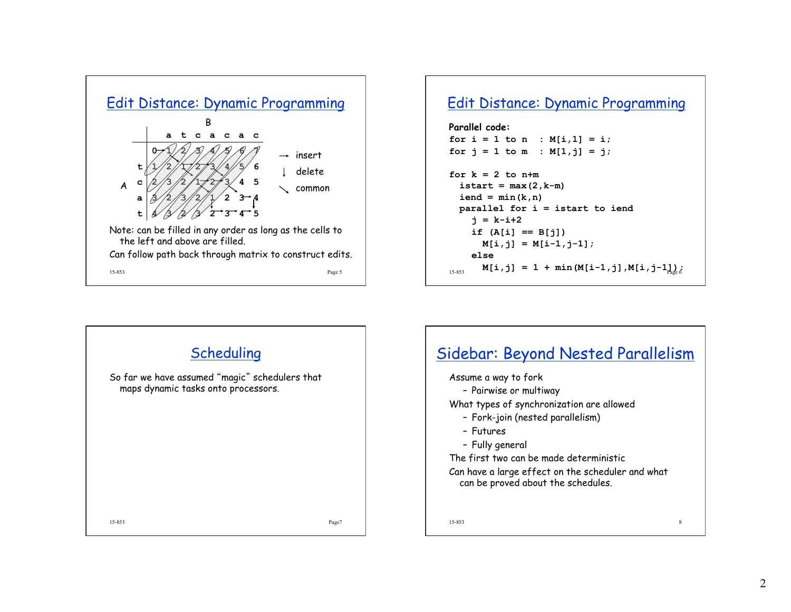

## Edit Distance: Dynamic Programming

```
Parallel code: 
for i = 1 to n : M[i, 1] = i;
for j = 1 to m : M[1, j] = j;
for k = 2 to n+m\texttt{istart} = \texttt{max}(2, k-m)iend = min(k, n)parallel for i = istart to iend 
     j = k-i+2 
    if (A[i] == B[i])M[i,j] = M[i-1,j-1]; else
```
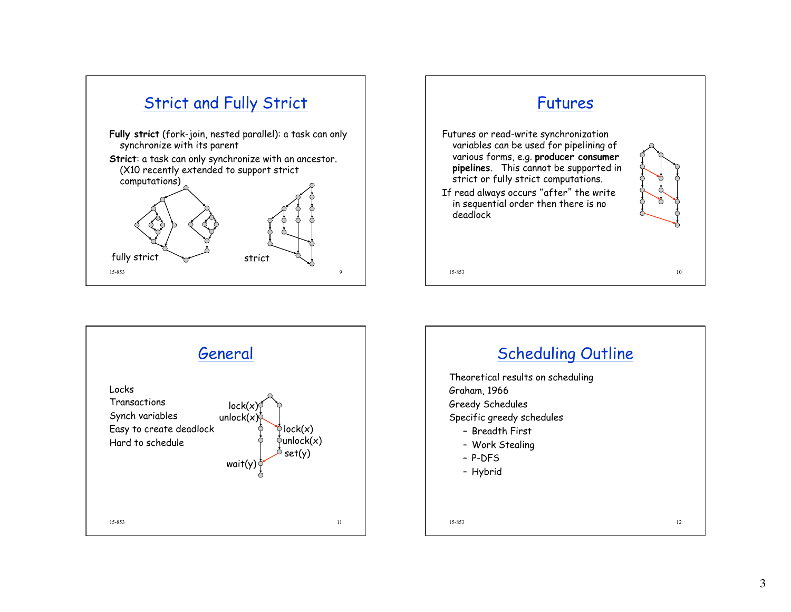





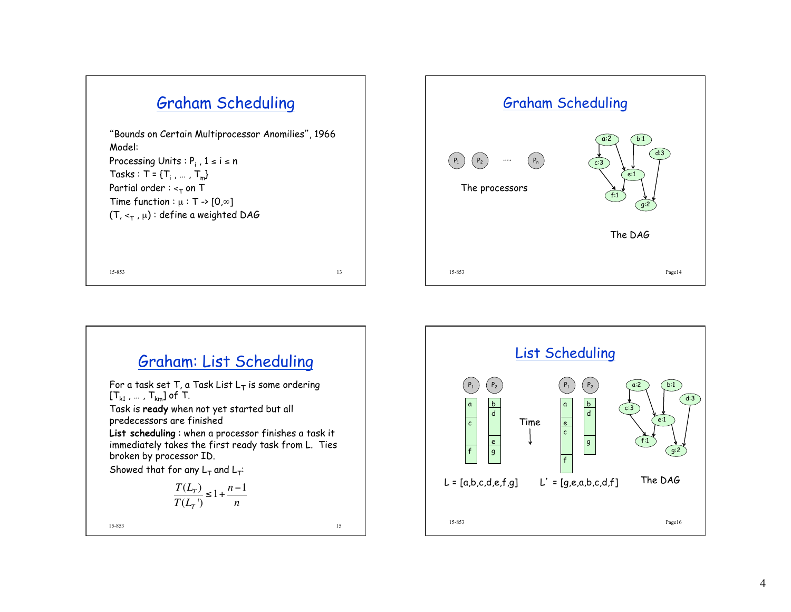





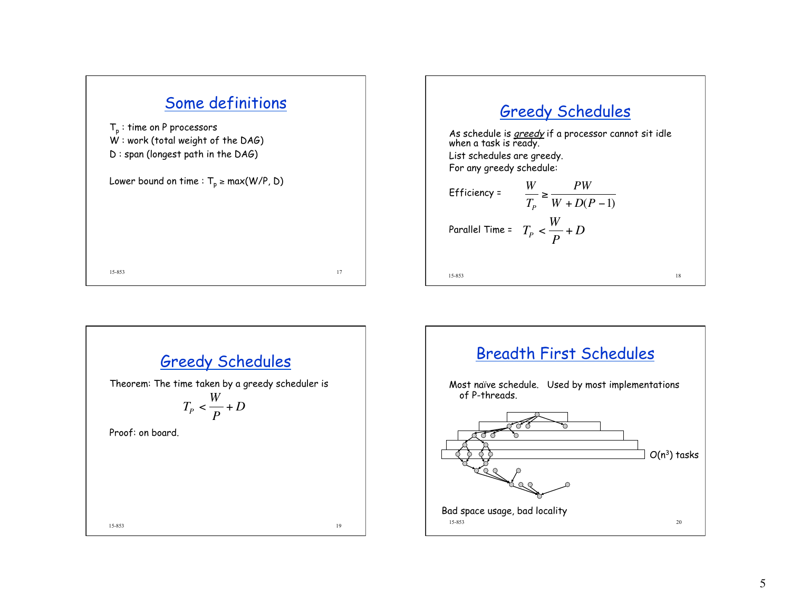

## Greedy Schedules

As schedule is *greedy* if a processor cannot sit idle when a task is ready.

List schedules are greedy. For any greedy schedule:

Efficiency =

\n
$$
\frac{W}{T_{P}} \ge \frac{PW}{W + D(P - 1)}
$$
\nParallel Time =

\n
$$
T_{P} < \frac{W}{P} + D
$$
\n15-853



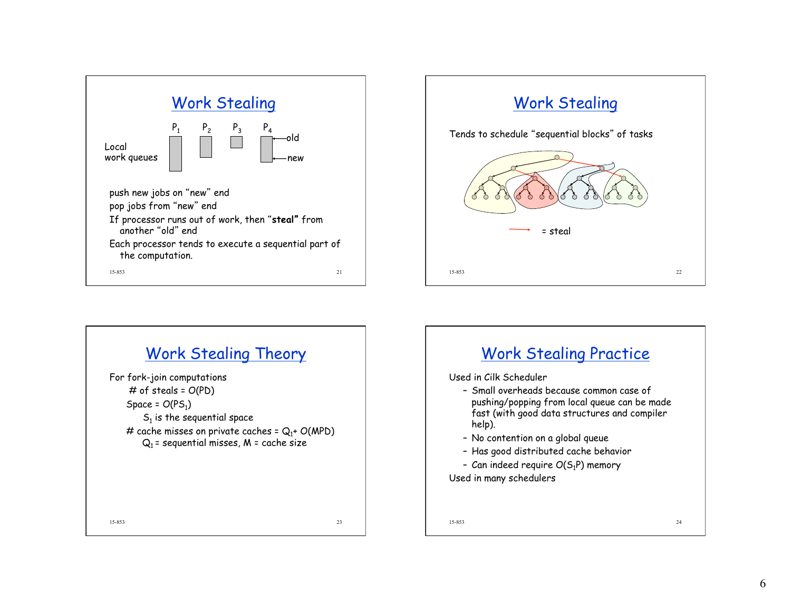



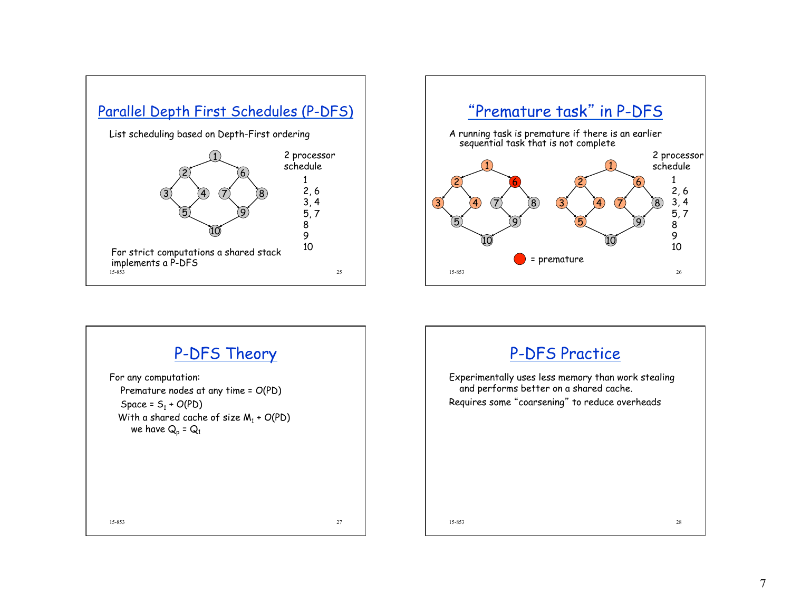